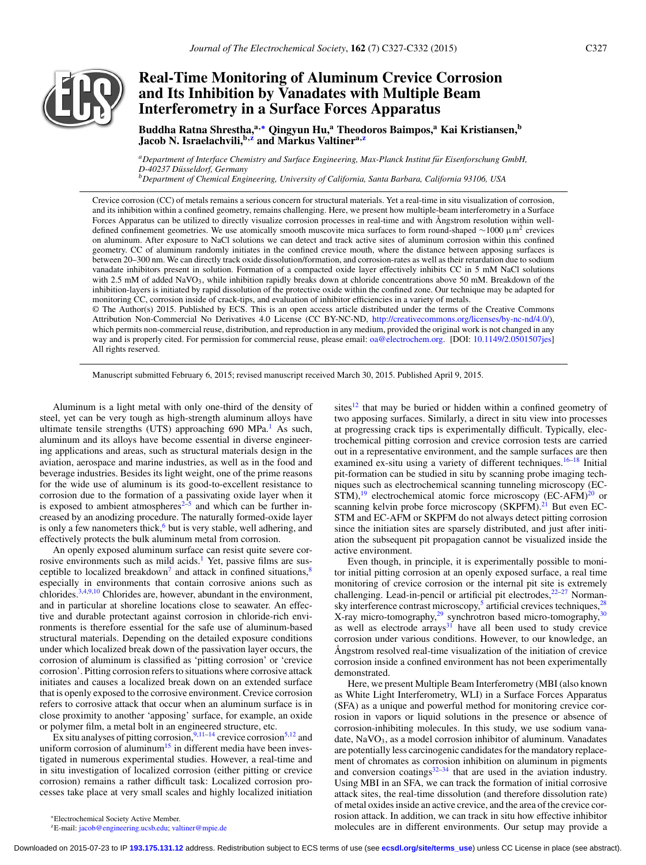

# **Real-Time Monitoring of Aluminum Crevice Corrosion and Its Inhibition by Vanadates with Multiple Beam Interferometry in a Surface Forces Apparatus**

**Buddha Ratna Shrestha,a,[∗](#page-0-0) Qingyun Hu,<sup>a</sup> Theodoros Baimpos,<sup>a</sup> Kai Kristiansen,<sup>b</sup> Jacob N. Israelachvili,b[,z](#page-0-1) and Markus Valtinera[,z](#page-0-1)**

*aDepartment of Interface Chemistry and Surface Engineering, Max-Planck Institut fur Eisenforschung GmbH, ¨ D-40237 Düsseldorf, Germany*<br><sup>*b</sup>Department of Chemical Engineering, University of California, Santa Barbara, California 93106, USA*</sup>

Crevice corrosion (CC) of metals remains a serious concern for structural materials. Yet a real-time in situ visualization of corrosion, and its inhibition within a confined geometry, remains challenging. Here, we present how multiple-beam interferometry in a Surface Forces Apparatus can be utilized to directly visualize corrosion processes in real-time and with Ångstrom resolution within welldefined confinement geometries. We use atomically smooth muscovite mica surfaces to form round-shaped ∼1000  $\mu$ m<sup>2</sup> crevices on aluminum. After exposure to NaCl solutions we can detect and track active sites of aluminum corrosion within this confined geometry. CC of aluminum randomly initiates in the confined crevice mouth, where the distance between apposing surfaces is between 20–300 nm. We can directly track oxide dissolution/formation, and corrosion-rates as well as their retardation due to sodium vanadate inhibitors present in solution. Formation of a compacted oxide layer effectively inhibits CC in 5 mM NaCl solutions with 2.5 mM of added NaVO<sub>3</sub>, while inhibition rapidly breaks down at chloride concentrations above 50 mM. Breakdown of the inhibition-layers is initiated by rapid dissolution of the protective oxide within the confined zone. Our technique may be adapted for monitoring CC, corrosion inside of crack-tips, and evaluation of inhibitor efficiencies in a variety of metals. © The Author(s) 2015. Published by ECS. This is an open access article distributed under the terms of the Creative Commons

Attribution Non-Commercial No Derivatives 4.0 License (CC BY-NC-ND, [http://creativecommons.org/licenses/by-nc-nd/4.0/\)](http://creativecommons.org/licenses/by-nc-nd/4.0/), which permits non-commercial reuse, distribution, and reproduction in any medium, provided the original work is not changed in any way and is properly cited. For permission for commercial reuse, please email:  $oa@electrochem.org$ . [DOI: [10.1149/2.0501507jes\]](http://dx.doi.org/10.1149/2.0501507jes) All rights reserved.

Manuscript submitted February 6, 2015; revised manuscript received March 30, 2015. Published April 9, 2015.

Aluminum is a light metal with only one-third of the density of steel, yet can be very tough as high-strength aluminum alloys have ultimate tensile strengths (UTS) approaching  $690 \text{ MPa}$ .<sup>1</sup> As such, aluminum and its alloys have become essential in diverse engineering applications and areas, such as structural materials design in the aviation, aerospace and marine industries, as well as in the food and beverage industries. Besides its light weight, one of the prime reasons for the wide use of aluminum is its good-to-excellent resistance to corrosion due to the formation of a passivating oxide layer when it is exposed to ambient atmospheres $2\frac{3}{5}$  $2\frac{3}{5}$  and which can be further increased by an anodizing procedure. The naturally formed-oxide layer is only a few nanometers thick, $6$  but is very stable, well adhering, and effectively protects the bulk aluminum metal from corrosion.

An openly exposed aluminum surface can resist quite severe corrosive environments such as mild acids.<sup>1</sup> Yet, passive films are susceptible to localized breakdown<sup>7</sup> and attack in confined situations, $\frac{8}{3}$  $\frac{8}{3}$  $\frac{8}{3}$ especially in environments that contain corrosive anions such as chlorides[.3,](#page-5-5)[4,](#page-5-6)[9,](#page-5-7)[10](#page-5-8) Chlorides are, however, abundant in the environment, and in particular at shoreline locations close to seawater. An effective and durable protectant against corrosion in chloride-rich environments is therefore essential for the safe use of aluminum-based structural materials. Depending on the detailed exposure conditions under which localized break down of the passivation layer occurs, the corrosion of aluminum is classified as 'pitting corrosion' or 'crevice corrosion'. Pitting corrosion refers to situations where corrosive attack initiates and causes a localized break down on an extended surface that is openly exposed to the corrosive environment. Crevice corrosion refers to corrosive attack that occur when an aluminum surface is in close proximity to another 'apposing' surface, for example, an oxide or polymer film, a metal bolt in an engineered structure, etc.

Ex situ analyses of pitting corrosion,  $9,11-14$  $9,11-14$  crevice corrosion<sup>5,[12](#page-5-11)</sup> and uniform corrosion of aluminum<sup>15</sup> in different media have been investigated in numerous experimental studies. However, a real-time and in situ investigation of localized corrosion (either pitting or crevice corrosion) remains a rather difficult task: Localized corrosion processes take place at very small scales and highly localized initiation sites $12$  that may be buried or hidden within a confined geometry of two apposing surfaces. Similarly, a direct in situ view into processes at progressing crack tips is experimentally difficult. Typically, electrochemical pitting corrosion and crevice corrosion tests are carried out in a representative environment, and the sample surfaces are then examined ex-situ using a variety of different techniques.<sup>16[–18](#page-5-14)</sup> Initial pit-formation can be studied in situ by scanning probe imaging techniques such as electrochemical scanning tunneling microscopy (EC- $STM$ ,<sup>19</sup> electrochemical atomic force microscopy (EC-AFM)<sup>20</sup> or scanning kelvin probe force microscopy  $(SKPFM)$ .<sup>21</sup> But even EC-STM and EC-AFM or SKPFM do not always detect pitting corrosion since the initiation sites are sparsely distributed, and just after initiation the subsequent pit propagation cannot be visualized inside the active environment.

Even though, in principle, it is experimentally possible to monitor initial pitting corrosion at an openly exposed surface, a real time monitoring of crevice corrosion or the internal pit site is extremely challenging. Lead-in-pencil or artificial pit electrodes,<sup>[22](#page-5-18)-27</sup> Normansky interference contrast microscopy,<sup>5</sup> artificial crevices techniques,<sup>2</sup> X-ray micro-tomography,<sup>[29](#page-5-21)</sup> synchrotron based micro-tomography,<sup>[30](#page-5-22)</sup> as well as electrode arrays<sup>[31](#page-5-23)</sup> have all been used to study crevice corrosion under various conditions. However, to our knowledge, an Ångstrom resolved real-time visualization of the initiation of crevice corrosion inside a confined environment has not been experimentally demonstrated.

Here, we present Multiple Beam Interferometry (MBI (also known as White Light Interferometry, WLI) in a Surface Forces Apparatus (SFA) as a unique and powerful method for monitoring crevice corrosion in vapors or liquid solutions in the presence or absence of corrosion-inhibiting molecules. In this study, we use sodium vanadate, NaVO<sub>3</sub>, as a model corrosion inhibitor of aluminum. Vanadates are potentially less carcinogenic candidates for the mandatory replacement of chromates as corrosion inhibition on aluminum in pigments and conversion coatings $32-34$  $32-34$  that are used in the aviation industry. Using MBI in an SFA, we can track the formation of initial corrosive attack sites, the real-time dissolution (and therefore dissolution rate) of metal oxides inside an active crevice, and the area of the crevice corrosion attack. In addition, we can track in situ how effective inhibitor molecules are in different environments. Our setup may provide a

<span id="page-0-1"></span><span id="page-0-0"></span>zE-mail: [jacob@engineering.ucsb.edu;](mailto:jacob@engineering.ucsb.edu) [valtiner@mpie.de](mailto:valtiner@mpie.de)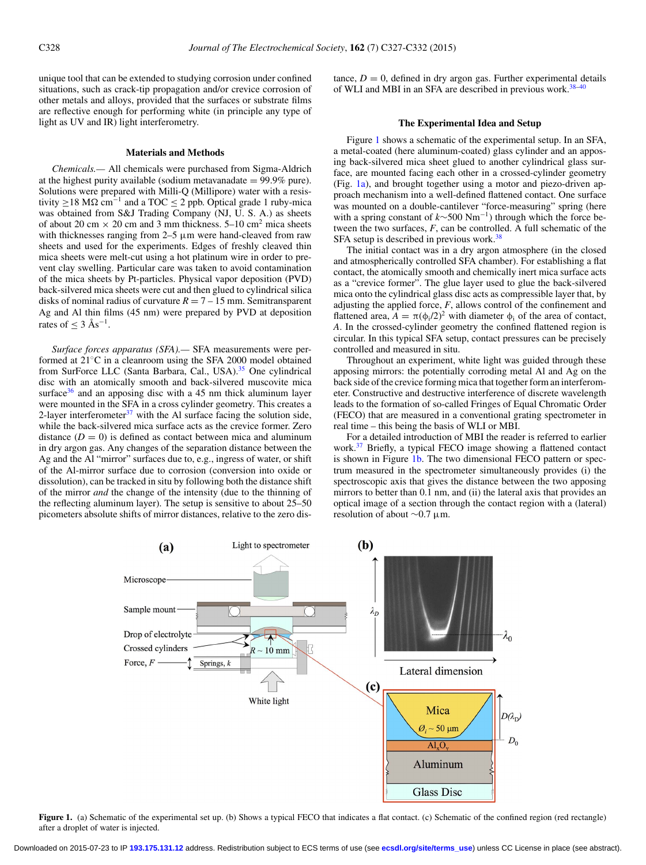unique tool that can be extended to studying corrosion under confined situations, such as crack-tip propagation and/or crevice corrosion of other metals and alloys, provided that the surfaces or substrate films are reflective enough for performing white (in principle any type of light as UV and IR) light interferometry.

### **Materials and Methods**

*Chemicals.—* All chemicals were purchased from Sigma-Aldrich at the highest purity available (sodium metavanadate  $= 99.9\%$  pure). Solutions were prepared with Milli-Q (Millipore) water with a resistivity  $\geq$ 18 M $\Omega$  cm<sup>-1</sup> and a TOC  $\leq$  2 ppb. Optical grade 1 ruby-mica was obtained from S&J Trading Company (NJ, U. S. A.) as sheets of about 20 cm  $\times$  20 cm and 3 mm thickness. 5–10 cm<sup>2</sup> mica sheets with thicknesses ranging from  $2-5 \mu m$  were hand-cleaved from raw sheets and used for the experiments. Edges of freshly cleaved thin mica sheets were melt-cut using a hot platinum wire in order to prevent clay swelling. Particular care was taken to avoid contamination of the mica sheets by Pt-particles. Physical vapor deposition (PVD) back-silvered mica sheets were cut and then glued to cylindrical silica disks of nominal radius of curvature  $R = 7 - 15$  mm. Semitransparent Ag and Al thin films (45 nm) were prepared by PVD at deposition rates of  $\leq 3 \text{ Ås}^{-1}$ .

*Surface forces apparatus (SFA).—* SFA measurements were performed at 21◦C in a cleanroom using the SFA 2000 model obtained from SurForce LLC (Santa Barbara, Cal., USA).<sup>35</sup> One cylindrical disc with an atomically smooth and back-silvered muscovite mica surface $36$  and an apposing disc with a 45 nm thick aluminum layer were mounted in the SFA in a cross cylinder geometry. This creates a 2-layer interferometer<sup>[37](#page-5-28)</sup> with the Al surface facing the solution side, while the back-silvered mica surface acts as the crevice former. Zero distance  $(D = 0)$  is defined as contact between mica and aluminum in dry argon gas. Any changes of the separation distance between the Ag and the Al "mirror" surfaces due to, e.g., ingress of water, or shift of the Al-mirror surface due to corrosion (conversion into oxide or dissolution), can be tracked in situ by following both the distance shift of the mirror *and* the change of the intensity (due to the thinning of the reflecting aluminum layer). The setup is sensitive to about 25–50 picometers absolute shifts of mirror distances, relative to the zero distance,  $D = 0$ , defined in dry argon gas. Further experimental details of WLI and MBI in an SFA are described in previous work.<sup>38-[40](#page-5-30)</sup>

## **The Experimental Idea and Setup**

Figure [1](#page-1-0) shows a schematic of the experimental setup. In an SFA, a metal-coated (here aluminum-coated) glass cylinder and an apposing back-silvered mica sheet glued to another cylindrical glass surface, are mounted facing each other in a crossed-cylinder geometry (Fig. [1a\)](#page-1-0), and brought together using a motor and piezo-driven approach mechanism into a well-defined flattened contact. One surface was mounted on a double-cantilever "force-measuring" spring (here with a spring constant of *k*∼500 Nm−1) through which the force between the two surfaces, *F*, can be controlled. A full schematic of the SFA setup is described in previous work.<sup>38</sup>

The initial contact was in a dry argon atmosphere (in the closed and atmospherically controlled SFA chamber). For establishing a flat contact, the atomically smooth and chemically inert mica surface acts as a "crevice former". The glue layer used to glue the back-silvered mica onto the cylindrical glass disc acts as compressible layer that, by adjusting the applied force, *F*, allows control of the confinement and flattened area,  $A = \pi(\phi_i/2)^2$  with diameter  $\phi_i$  of the area of contact, *A*. In the crossed-cylinder geometry the confined flattened region is circular. In this typical SFA setup, contact pressures can be precisely controlled and measured in situ.

Throughout an experiment, white light was guided through these apposing mirrors: the potentially corroding metal Al and Ag on the back side of the crevice forming mica that together form an interferometer. Constructive and destructive interference of discrete wavelength leads to the formation of so-called Fringes of Equal Chromatic Order (FECO) that are measured in a conventional grating spectrometer in real time – this being the basis of WLI or MBI.

For a detailed introduction of MBI the reader is referred to earlier work[.37](#page-5-28) Briefly, a typical FECO image showing a flattened contact is shown in Figure [1b.](#page-1-0) The two dimensional FECO pattern or spectrum measured in the spectrometer simultaneously provides (i) the spectroscopic axis that gives the distance between the two apposing mirrors to better than 0.1 nm, and (ii) the lateral axis that provides an optical image of a section through the contact region with a (lateral) resolution of about ∼0.7 μm.

<span id="page-1-0"></span>

Figure 1. (a) Schematic of the experimental set up. (b) Shows a typical FECO that indicates a flat contact. (c) Schematic of the confined region (red rectangle) after a droplet of water is injected.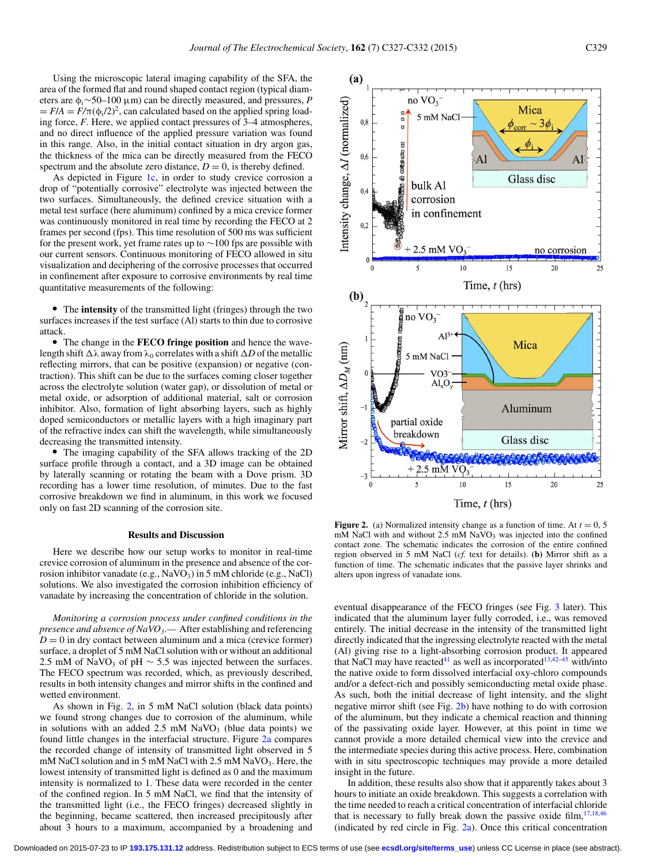Using the microscopic lateral imaging capability of the SFA, the area of the formed flat and round shaped contact region (typical diameters are φi∼50–100 μm) can be directly measured, and pressures, *P*  $= F/A = F/\pi(\phi_i/2)^2$ , can calculated based on the applied spring loading force, *F*. Here, we applied contact pressures of 3–4 atmospheres, and no direct influence of the applied pressure variation was found in this range. Also, in the initial contact situation in dry argon gas, the thickness of the mica can be directly measured from the FECO spectrum and the absolute zero distance,  $D = 0$ , is thereby defined.

As depicted in Figure [1c,](#page-1-0) in order to study crevice corrosion a drop of "potentially corrosive" electrolyte was injected between the two surfaces. Simultaneously, the defined crevice situation with a metal test surface (here aluminum) confined by a mica crevice former was continuously monitored in real time by recording the FECO at 2 frames per second (fps). This time resolution of 500 ms was sufficient for the present work, yet frame rates up to ∼100 fps are possible with our current sensors. Continuous monitoring of FECO allowed in situ visualization and deciphering of the corrosive processes that occurred in confinement after exposure to corrosive environments by real time quantitative measurements of the following:

- The **intensity** of the transmitted light (fringes) through the two surfaces increases if the test surface (Al) starts to thin due to corrosive attack.

 The change in the **FECO fringe position** and hence the wavelength shift  $\Delta\lambda$  away from  $\lambda_0$  correlates with a shift  $\Delta D$  of the metallic reflecting mirrors, that can be positive (expansion) or negative (contraction). This shift can be due to the surfaces coming closer together across the electrolyte solution (water gap), or dissolution of metal or metal oxide, or adsorption of additional material, salt or corrosion inhibitor. Also, formation of light absorbing layers, such as highly doped semiconductors or metallic layers with a high imaginary part of the refractive index can shift the wavelength, while simultaneously decreasing the transmitted intensity.

 The imaging capability of the SFA allows tracking of the 2D surface profile through a contact, and a 3D image can be obtained by laterally scanning or rotating the beam with a Dove prism. 3D recording has a lower time resolution, of minutes. Due to the fast corrosive breakdown we find in aluminum, in this work we focused only on fast 2D scanning of the corrosion site.

#### **Results and Discussion**

Here we describe how our setup works to monitor in real-time crevice corrosion of aluminum in the presence and absence of the corrosion inhibitor vanadate (e.g., NaVO<sub>3</sub>) in 5 mM chloride (e.g., NaCl) solutions. We also investigated the corrosion inhibition efficiency of vanadate by increasing the concentration of chloride in the solution.

*Monitoring a corrosion process under confined conditions in the presence and absence of NaVO3.—* After establishing and referencing  $D = 0$  in dry contact between aluminum and a mica (crevice former) surface, a droplet of 5 mM NaCl solution with or without an additional 2.5 mM of NaVO<sub>3</sub> of pH  $\sim$  5.5 was injected between the surfaces. The FECO spectrum was recorded, which, as previously described, results in both intensity changes and mirror shifts in the confined and wetted environment.

As shown in Fig. [2,](#page-2-0) in 5 mM NaCl solution (black data points) we found strong changes due to corrosion of the aluminum, while in solutions with an added 2.5 mM  $NaVO<sub>3</sub>$  (blue data points) we found little changes in the interfacial structure. Figure [2a](#page-2-0) compares the recorded change of intensity of transmitted light observed in 5 mM NaCl solution and in 5 mM NaCl with  $2.5$  mM NaVO<sub>3</sub>. Here, the lowest intensity of transmitted light is defined as 0 and the maximum intensity is normalized to 1. These data were recorded in the center of the confined region. In 5 mM NaCl, we find that the intensity of the transmitted light (i.e., the FECO fringes) decreased slightly in the beginning, became scattered, then increased precipitously after about 3 hours to a maximum, accompanied by a broadening and

<span id="page-2-0"></span>

**Figure 2.** (a) Normalized intensity change as a function of time. At  $t = 0, 5$  $m$ M NaCl with and without 2.5 mM NaVO<sub>3</sub> was injected into the confined contact zone. The schematic indicates the corrosion of the entire confined region observed in 5 mM NaCl (*cf.* text for details). **(b)** Mirror shift as a function of time. The schematic indicates that the passive layer shrinks and alters upon ingress of vanadate ions.

eventual disappearance of the FECO fringes (see Fig. [3](#page-3-0) later). This indicated that the aluminum layer fully corroded, i.e., was removed entirely. The initial decrease in the intensity of the transmitted light directly indicated that the ingressing electrolyte reacted with the metal (Al) giving rise to a light-absorbing corrosion product. It appeared that NaCl may have reacted<sup>[41](#page-5-31)</sup> as well as incorporated<sup>13,[42](#page-5-33)[–45](#page-5-34)</sup> with/into the native oxide to form dissolved interfacial oxy-chloro compounds and/or a defect-rich and possibly semiconducting metal oxide phase. As such, both the initial decrease of light intensity, and the slight negative mirror shift (see Fig. [2b\)](#page-2-0) have nothing to do with corrosion of the aluminum, but they indicate a chemical reaction and thinning of the passivating oxide layer. However, at this point in time we cannot provide a more detailed chemical view into the crevice and the intermediate species during this active process. Here, combination with in situ spectroscopic techniques may provide a more detailed insight in the future.

In addition, these results also show that it apparently takes about 3 hours to initiate an oxide breakdown. This suggests a correlation with the time needed to reach a critical concentration of interfacial chloride that is necessary to fully break down the passive oxide film,  $17,18,46$  $17,18,46$  $17,18,46$ (indicated by red circle in Fig.  $2a$ ). Once this critical concentration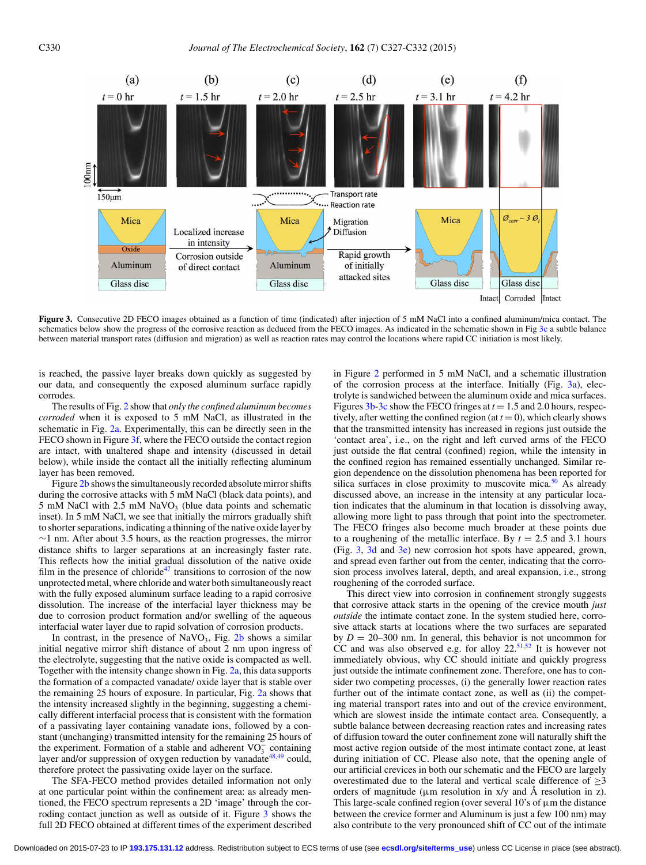<span id="page-3-0"></span>

**Figure 3.** Consecutive 2D FECO images obtained as a function of time (indicated) after injection of 5 mM NaCl into a confined aluminum/mica contact. The schematics below show the progress of the corrosive reaction as deduced from the FECO images. As indicated in the schematic shown in Fig [3c](#page-3-0) a subtle balance between material transport rates (diffusion and migration) as well as reaction rates may control the locations where rapid CC initiation is most likely.

is reached, the passive layer breaks down quickly as suggested by our data, and consequently the exposed aluminum surface rapidly corrodes.

The results of Fig. [2](#page-2-0) show that *only the confined aluminum becomes corroded* when it is exposed to 5 mM NaCl, as illustrated in the schematic in Fig. [2a.](#page-2-0) Experimentally, this can be directly seen in the FECO shown in Figure [3f,](#page-3-0) where the FECO outside the contact region are intact, with unaltered shape and intensity (discussed in detail below), while inside the contact all the initially reflecting aluminum layer has been removed.

Figure [2b](#page-2-0) shows the simultaneously recorded absolute mirror shifts during the corrosive attacks with 5 mM NaCl (black data points), and  $5$  mM NaCl with  $2.5$  mM NaVO<sub>3</sub> (blue data points and schematic inset). In 5 mM NaCl, we see that initially the mirrors gradually shift to shorter separations, indicating a thinning of the native oxide layer by  $\sim$ 1 nm. After about 3.5 hours, as the reaction progresses, the mirror distance shifts to larger separations at an increasingly faster rate. This reflects how the initial gradual dissolution of the native oxide film in the presence of chloride<sup>47</sup> transitions to corrosion of the now unprotected metal, where chloride and water both simultaneously react with the fully exposed aluminum surface leading to a rapid corrosive dissolution. The increase of the interfacial layer thickness may be due to corrosion product formation and/or swelling of the aqueous interfacial water layer due to rapid solvation of corrosion products.

In contrast, in the presence of  $NaVO<sub>3</sub>$ , Fig. [2b](#page-2-0) shows a similar initial negative mirror shift distance of about 2 nm upon ingress of the electrolyte, suggesting that the native oxide is compacted as well. Together with the intensity change shown in Fig. [2a,](#page-2-0) this data supports the formation of a compacted vanadate/ oxide layer that is stable over the remaining 25 hours of exposure. In particular, Fig. [2a](#page-2-0) shows that the intensity increased slightly in the beginning, suggesting a chemically different interfacial process that is consistent with the formation of a passivating layer containing vanadate ions, followed by a constant (unchanging) transmitted intensity for the remaining 25 hours of the experiment. Formation of a stable and adherent  $VO_3^-$  containing layer and/or suppression of oxygen reduction by vanadate<sup>48,[49](#page-5-39)</sup> could, therefore protect the passivating oxide layer on the surface.

The SFA-FECO method provides detailed information not only at one particular point within the confinement area: as already mentioned, the FECO spectrum represents a 2D 'image' through the corroding contact junction as well as outside of it. Figure [3](#page-3-0) shows the full 2D FECO obtained at different times of the experiment described in Figure [2](#page-2-0) performed in 5 mM NaCl, and a schematic illustration of the corrosion process at the interface. Initially (Fig. [3a\)](#page-3-0), electrolyte is sandwiched between the aluminum oxide and mica surfaces. Figures  $3b-3c$  show the FECO fringes at  $t = 1.5$  and 2.0 hours, respectively, after wetting the confined region (at  $t = 0$ ), which clearly shows that the transmitted intensity has increased in regions just outside the 'contact area', i.e., on the right and left curved arms of the FECO just outside the flat central (confined) region, while the intensity in the confined region has remained essentially unchanged. Similar region dependence on the dissolution phenomena has been reported for silica surfaces in close proximity to muscovite mica.<sup>50</sup> As already discussed above, an increase in the intensity at any particular location indicates that the aluminum in that location is dissolving away, allowing more light to pass through that point into the spectrometer. The FECO fringes also become much broader at these points due to a roughening of the metallic interface. By  $t = 2.5$  and 3.1 hours (Fig. [3,](#page-3-0) [3d](#page-3-0) and [3e\)](#page-3-0) new corrosion hot spots have appeared, grown, and spread even farther out from the center, indicating that the corrosion process involves lateral, depth, and areal expansion, i.e., strong roughening of the corroded surface.

This direct view into corrosion in confinement strongly suggests that corrosive attack starts in the opening of the crevice mouth *just outside* the intimate contact zone. In the system studied here, corrosive attack starts at locations where the two surfaces are separated by  $D = 20-300$  nm. In general, this behavior is not uncommon for CC and was also observed e.g. for alloy  $22.51,52$  $22.51,52$  $22.51,52$  It is however not immediately obvious, why CC should initiate and quickly progress just outside the intimate confinement zone. Therefore, one has to consider two competing processes, (i) the generally lower reaction rates further out of the intimate contact zone, as well as (ii) the competing material transport rates into and out of the crevice environment, which are slowest inside the intimate contact area. Consequently, a subtle balance between decreasing reaction rates and increasing rates of diffusion toward the outer confinement zone will naturally shift the most active region outside of the most intimate contact zone, at least during initiation of CC. Please also note, that the opening angle of our artificial crevices in both our schematic and the FECO are largely overestimated due to the lateral and vertical scale difference of  $\geq$ 3 orders of magnitude ( $\mu$ m resolution in x/y and Å resolution in z). This large-scale confined region (over several  $10$ 's of  $\mu$ m the distance between the crevice former and Aluminum is just a few 100 nm) may also contribute to the very pronounced shift of CC out of the intimate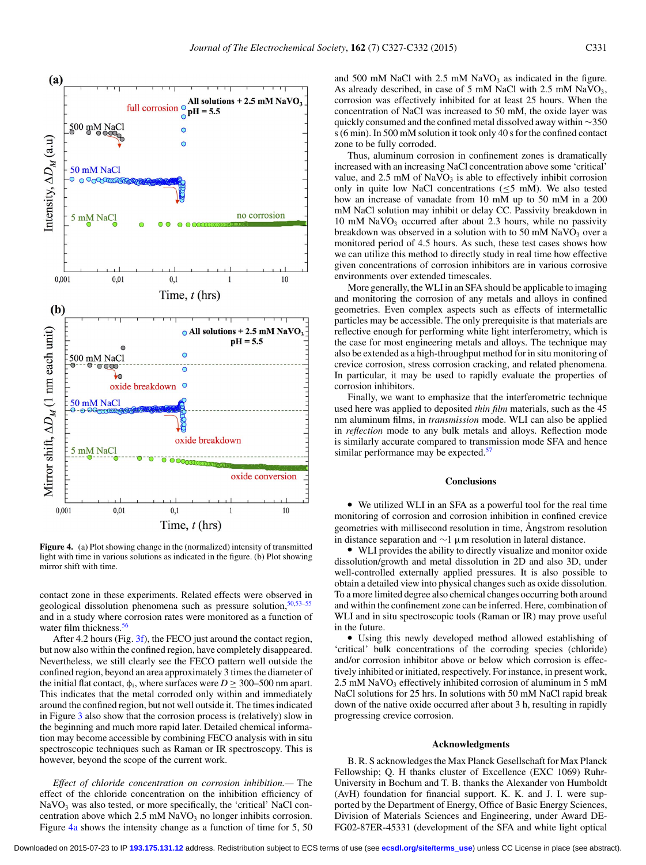<span id="page-4-0"></span>

**Figure 4.** (a) Plot showing change in the (normalized) intensity of transmitted light with time in various solutions as indicated in the figure. (b) Plot showing mirror shift with time.

contact zone in these experiments. Related effects were observed in geological dissolution phenomena such as pressure solution,  $50,53-55$  $50,53-55$ and in a study where corrosion rates were monitored as a function of water film thickness.<sup>56</sup>

After 4.2 hours (Fig. [3f\)](#page-3-0), the FECO just around the contact region, but now also within the confined region, have completely disappeared. Nevertheless, we still clearly see the FECO pattern well outside the confined region, beyond an area approximately 3 times the diameter of the initial flat contact,  $\phi_i$ , where surfaces were  $D > 300-500$  nm apart. This indicates that the metal corroded only within and immediately around the confined region, but not well outside it. The times indicated in Figure [3](#page-3-0) also show that the corrosion process is (relatively) slow in the beginning and much more rapid later. Detailed chemical information may become accessible by combining FECO analysis with in situ spectroscopic techniques such as Raman or IR spectroscopy. This is however, beyond the scope of the current work.

*Effect of chloride concentration on corrosion inhibition.—* The effect of the chloride concentration on the inhibition efficiency of  $NaVO<sub>3</sub>$  was also tested, or more specifically, the 'critical' NaCl concentration above which  $2.5 \text{ mM NaVO}_3$  no longer inhibits corrosion. Figure [4a](#page-4-0) shows the intensity change as a function of time for 5, 50 and 500 mM NaCl with  $2.5$  mM NaVO<sub>3</sub> as indicated in the figure. As already described, in case of 5 mM NaCl with  $2.5$  mM NaVO<sub>3</sub>, corrosion was effectively inhibited for at least 25 hours. When the concentration of NaCl was increased to 50 mM, the oxide layer was quickly consumed and the confined metal dissolved away within ∼350 s (6 min). In 500 mM solution it took only 40 s for the confined contact zone to be fully corroded.

Thus, aluminum corrosion in confinement zones is dramatically increased with an increasing NaCl concentration above some 'critical' value, and  $2.5 \text{ mM of NaVO}_3$  is able to effectively inhibit corrosion only in quite low NaCl concentrations ( $\leq$ 5 mM). We also tested how an increase of vanadate from 10 mM up to 50 mM in a 200 mM NaCl solution may inhibit or delay CC. Passivity breakdown in  $10 \text{ mM NaVO}_3$  occurred after about 2.3 hours, while no passivity breakdown was observed in a solution with to 50 mM  $NaVO<sub>3</sub>$  over a monitored period of 4.5 hours. As such, these test cases shows how we can utilize this method to directly study in real time how effective given concentrations of corrosion inhibitors are in various corrosive environments over extended timescales.

More generally, the WLI in an SFA should be applicable to imaging and monitoring the corrosion of any metals and alloys in confined geometries. Even complex aspects such as effects of intermetallic particles may be accessible. The only prerequisite is that materials are reflective enough for performing white light interferometry, which is the case for most engineering metals and alloys. The technique may also be extended as a high-throughput method for in situ monitoring of crevice corrosion, stress corrosion cracking, and related phenomena. In particular, it may be used to rapidly evaluate the properties of corrosion inhibitors.

Finally, we want to emphasize that the interferometric technique used here was applied to deposited *thin film* materials, such as the 45 nm aluminum films, in *transmission* mode. WLI can also be applied in *reflection* mode to any bulk metals and alloys. Reflection mode is similarly accurate compared to transmission mode SFA and hence similar performance may be expected. $57$ 

## **Conclusions**

- We utilized WLI in an SFA as a powerful tool for the real time monitoring of corrosion and corrosion inhibition in confined crevice geometries with millisecond resolution in time, Ångstrom resolution

in distance separation and ∼1 μm resolution in lateral distance.<br>• WLI provides the ability to directly visualize and monitor oxide dissolution/growth and metal dissolution in 2D and also 3D, under well-controlled externally applied pressures. It is also possible to obtain a detailed view into physical changes such as oxide dissolution. To a more limited degree also chemical changes occurring both around and within the confinement zone can be inferred. Here, combination of WLI and in situ spectroscopic tools (Raman or IR) may prove useful in the future.

 Using this newly developed method allowed establishing of 'critical' bulk concentrations of the corroding species (chloride) and/or corrosion inhibitor above or below which corrosion is effectively inhibited or initiated, respectively. For instance, in present work,  $2.5$  mM NaVO<sub>3</sub> effectively inhibited corrosion of aluminum in  $5$  mM NaCl solutions for 25 hrs. In solutions with 50 mM NaCl rapid break down of the native oxide occurred after about 3 h, resulting in rapidly progressing crevice corrosion.

## **Acknowledgments**

B. R. S acknowledges the Max Planck Gesellschaft for Max Planck Fellowship; Q. H thanks cluster of Excellence (EXC 1069) Ruhr-University in Bochum and T. B. thanks the Alexander von Humboldt (AvH) foundation for financial support. K. K. and J. I. were supported by the Department of Energy, Office of Basic Energy Sciences, Division of Materials Sciences and Engineering, under Award DE-FG02-87ER-45331 (development of the SFA and white light optical